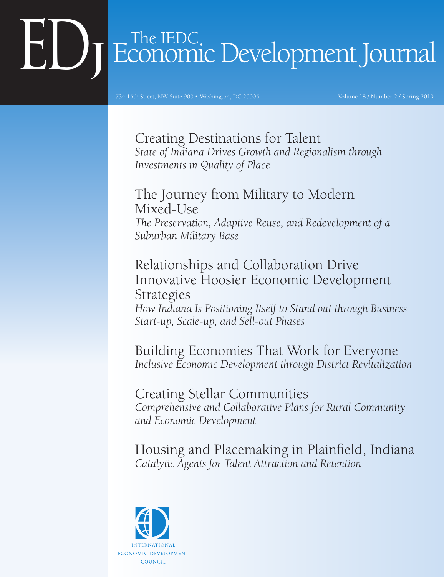# Economic Development Journal

734 15th Street, NW Suite 900 • Washington, DC 20005

Volume 18 / Number 2 / Spring 2019

Creating Destinations for Talent *State of Indiana Drives Growth and Regionalism through Investments in Quality of Place*

The Journey from Military to Modern Mixed-Use *The Preservation, Adaptive Reuse, and Redevelopment of a Suburban Military Base*

Relationships and Collaboration Drive Innovative Hoosier Economic Development Strategies *How Indiana Is Positioning Itself to Stand out through Business Start-up, Scale-up, and Sell-out Phases*

Building Economies That Work for Everyone *Inclusive Economic Development through District Revitalization*

Creating Stellar Communities *Comprehensive and Collaborative Plans for Rural Community and Economic Development*

Housing and Placemaking in Plainfield, Indiana *Catalytic Agents for Talent Attraction and Retention*

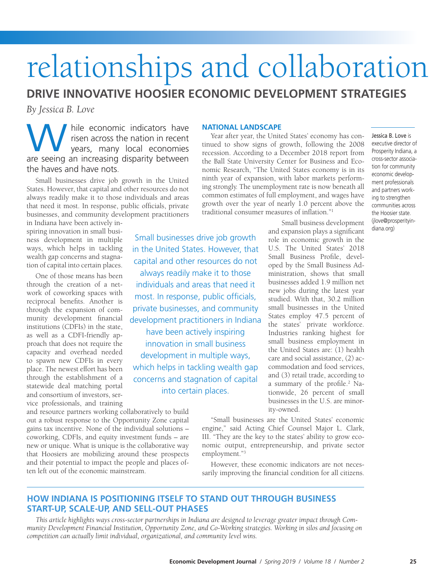## relationships and collaboration

**DRIVE INNOVATIVE HOOSIER ECONOMIC DEVELOPMENT STRATEGIES**

*By Jessica B. Love*

hile economic indicators have risen across the nation in recent years, many local economies By Jessica B. Love<br>
hile economic indicators have<br>
risen across the nation in recent<br>
years, many local economies<br>
are seeing an increasing disparity between the haves and have nots.

Small businesses drive job growth in the United States. However, that capital and other resources do not always readily make it to those individuals and areas that need it most. In response, public officials, private businesses, and community development practitioners

in Indiana have been actively inspiring innovation in small business development in multiple ways, which helps in tackling wealth gap concerns and stagnation of capital into certain places.

One of those means has been through the creation of a network of coworking spaces with reciprocal benefits. Another is through the expansion of community development financial institutions (CDFIs) in the state, as well as a CDFI-friendly approach that does not require the capacity and overhead needed to spawn new CDFIs in every place. The newest effort has been through the establishment of a statewide deal matching portal and consortium of investors, service professionals, and training

and resource partners working collaboratively to build out a robust response to the Opportunity Zone capital gains tax incentive. None of the individual solutions – coworking, CDFIs, and equity investment funds – are new or unique. What is unique is the collaborative way that Hoosiers are mobilizing around these prospects and their potential to impact the people and places often left out of the economic mainstream.

#### **NATIONAL LANDSCAPE**

Year after year, the United States' economy has continued to show signs of growth, following the 2008 recession. According to a December 2018 report from the Ball State University Center for Business and Economic Research, "The United States economy is in its ninth year of expansion, with labor markets performing strongly. The unemployment rate is now beneath all common estimates of full employment, and wages have growth over the year of nearly 1.0 percent above the traditional consumer measures of inflation."1

executive director of Prosperity Indiana, a cross-sector association for community economic development professionals and partners working to strengthen communities across the Hoosier state. (jlove@prosperityindiana.org)

Jessica B. Love is

Small businesses drive job growth in the United States. However, that capital and other resources do not always readily make it to those individuals and areas that need it most. In response, public officials, private businesses, and community development practitioners in Indiana

have been actively inspiring innovation in small business development in multiple ways, which helps in tackling wealth gap concerns and stagnation of capital into certain places.

Small business development and expansion plays a significant role in economic growth in the U.S. The United States' 2018 Small Business Profile, developed by the Small Business Administration, shows that small businesses added 1.9 million net new jobs during the latest year studied. With that, 30.2 million small businesses in the United States employ 47.5 percent of the states' private workforce. Industries ranking highest for small business employment in the United States are: (1) health care and social assistance, (2) accommodation and food services, and (3) retail trade, according to a summary of the profile.<sup>2</sup> Nationwide, 26 percent of small businesses in the U.S. are minority-owned.

"Small businesses are the United States' economic engine," said Acting Chief Counsel Major L. Clark, III. "They are the key to the states' ability to grow economic output, entrepreneurship, and private sector employment."3

However, these economic indicators are not necessarily improving the financial condition for all citizens.

#### **HOW INDIANA IS POSITIONING ITSELF TO STAND OUT THROUGH BUSINESS START-UP, SCALE-UP, AND SELL-OUT PHASES**

*This article highlights ways cross-sector partnerships in Indiana are designed to leverage greater impact through Community Development Financial Institution, Opportunity Zone, and Co-Working strategies. Working in silos and focusing on competition can actually limit individual, organizational, and community level wins.*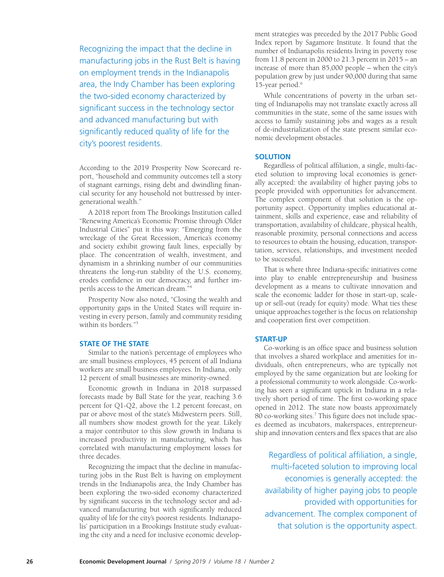Recognizing the impact that the decline in manufacturing jobs in the Rust Belt is having on employment trends in the Indianapolis area, the Indy Chamber has been exploring the two-sided economy characterized by significant success in the technology sector and advanced manufacturing but with significantly reduced quality of life for the city's poorest residents.

According to the 2019 Prosperity Now Scorecard report, "household and community outcomes tell a story of stagnant earnings, rising debt and dwindling financial security for any household not buttressed by intergenerational wealth."

A 2018 report from The Brookings Institution called "Renewing America's Economic Promise through Older Industrial Cities" put it this way: "Emerging from the wreckage of the Great Recession, America's economy and society exhibit growing fault lines, especially by place. The concentration of wealth, investment, and dynamism in a shrinking number of our communities threatens the long-run stability of the U.S. economy, erodes confidence in our democracy, and further imperils access to the American dream."4

Prosperity Now also noted, "Closing the wealth and opportunity gaps in the United States will require investing in every person, family and community residing within its borders."5

#### **STATE OF THE STATE**

Similar to the nation's percentage of employees who are small business employees, 45 percent of all Indiana workers are small business employees. In Indiana, only 12 percent of small businesses are minority-owned.

Economic growth in Indiana in 2018 surpassed forecasts made by Ball State for the year, reaching 3.6 percent for Q1-Q2, above the 1.2 percent forecast, on par or above most of the state's Midwestern peers. Still, all numbers show modest growth for the year. Likely a major contributor to this slow growth in Indiana is increased productivity in manufacturing, which has correlated with manufacturing employment losses for three decades.

Recognizing the impact that the decline in manufacturing jobs in the Rust Belt is having on employment trends in the Indianapolis area, the Indy Chamber has been exploring the two-sided economy characterized by significant success in the technology sector and advanced manufacturing but with significantly reduced quality of life for the city's poorest residents. Indianapolis' participation in a Brookings Institute study evaluating the city and a need for inclusive economic development strategies was preceded by the 2017 Public Good Index report by Sagamore Institute. It found that the number of Indianapolis residents living in poverty rose from 11.8 percent in 2000 to 21.3 percent in 2015 – an increase of more than 85,000 people – when the city's population grew by just under 90,000 during that same 15-year period.<sup>6</sup>

While concentrations of poverty in the urban setting of Indianapolis may not translate exactly across all communities in the state, some of the same issues with access to family sustaining jobs and wages as a result of de-industrialization of the state present similar economic development obstacles.

#### **SOLUTION**

Regardless of political affiliation, a single, multi-faceted solution to improving local economies is generally accepted: the availability of higher paying jobs to people provided with opportunities for advancement. The complex component of that solution is the opportunity aspect. Opportunity implies educational attainment, skills and experience, ease and reliability of transportation, availability of childcare, physical health, reasonable proximity, personal connections and access to resources to obtain the housing, education, transportation, services, relationships, and investment needed to be successful.

That is where three Indiana-specific initiatives come into play to enable entrepreneurship and business development as a means to cultivate innovation and scale the economic ladder for those in start-up, scaleup or sell-out (ready for equity) mode. What ties these unique approaches together is the focus on relationship and cooperation first over competition.

#### **START-UP**

Co-working is an office space and business solution that involves a shared workplace and amenities for individuals, often entrepreneurs, who are typically not employed by the same organization but are looking for a professional community to work alongside. Co-working has seen a significant uptick in Indiana in a relatively short period of time. The first co-working space opened in 2012. The state now boasts approximately 80 co-working sites.<sup>7</sup> This figure does not include spaces deemed as incubators, makerspaces, entrepreneurship and innovation centers and flex spaces that are also

Regardless of political affiliation, a single, multi-faceted solution to improving local economies is generally accepted: the availability of higher paying jobs to people provided with opportunities for advancement. The complex component of that solution is the opportunity aspect.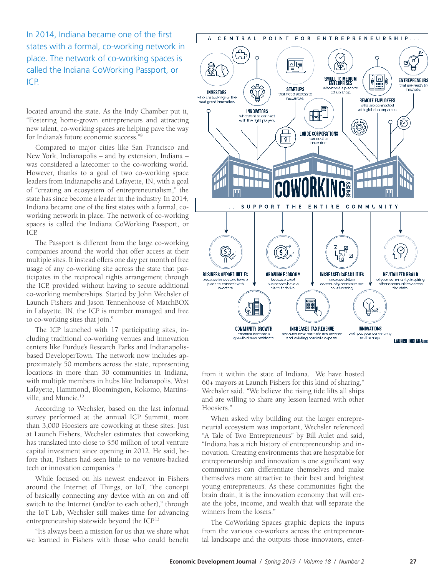In 2014, Indiana became one of the first states with a formal, co-working network in place. The network of co-working spaces is called the Indiana CoWorking Passport, or ICP.

located around the state. As the Indy Chamber put it, "Fostering home-grown entrepreneurs and attracting new talent, co-working spaces are helping pave the way for Indiana's future economic success."8

Compared to major cities like San Francisco and New York, Indianapolis – and by extension, Indiana – was considered a latecomer to the co-working world. However, thanks to a goal of two co-working space leaders from Indianapolis and Lafayette, IN, with a goal of "creating an ecosystem of entrepreneurialism," the state has since become a leader in the industry. In 2014, Indiana became one of the first states with a formal, coworking network in place. The network of co-working spaces is called the Indiana CoWorking Passport, or ICP.

The Passport is different from the large co-working companies around the world that offer access at their multiple sites. It instead offers one day per month of free usage of any co-working site across the state that participates in the reciprocal rights arrangement through the ICP, provided without having to secure additional co-working memberships. Started by John Wechsler of Launch Fishers and Jason Tennenhouse of MatchBOX in Lafayette, IN, the ICP is member managed and free to co-working sites that join.<sup>9</sup>

The ICP launched with 17 participating sites, including traditional co-working venues and innovation centers like Purdue's Research Parks and Indianapolisbased DeveloperTown. The network now includes approximately 50 members across the state, representing locations in more than 30 communities in Indiana, with multiple members in hubs like Indianapolis, West Lafayette, Hammond, Bloomington, Kokomo, Martinsville, and Muncie.10

According to Wechsler, based on the last informal survey performed at the annual ICP Summit, more than 3,000 Hoosiers are coworking at these sites. Just at Launch Fishers, Wechsler estimates that coworking has translated into close to \$50 million of total venture capital investment since opening in 2012. He said, before that, Fishers had seen little to no venture-backed tech or innovation companies.<sup>11</sup>

While focused on his newest endeavor in Fishers around the Internet of Things, or IoT, "the concept of basically connecting any device with an on and off switch to the Internet (and/or to each other)," through the IoT Lab, Wechsler still makes time for advancing entrepreneurship statewide beyond the ICP.12

"It's always been a mission for us that we share what we learned in Fishers with those who could benefit



from it within the state of Indiana. We have hosted 60+ mayors at Launch Fishers for this kind of sharing," Wechsler said. "We believe the rising tide lifts all ships and are willing to share any lesson learned with other Hoosiers."

When asked why building out the larger entrepreneurial ecosystem was important, Wechsler referenced "A Tale of Two Entrepreneurs" by Bill Aulet and said, "Indiana has a rich history of entrepreneurship and innovation. Creating environments that are hospitable for entrepreneurship and innovation is one significant way communities can differentiate themselves and make themselves more attractive to their best and brightest young entrepreneurs. As these communities fight the brain drain, it is the innovation economy that will create the jobs, income, and wealth that will separate the winners from the losers."

The CoWorking Spaces graphic depicts the inputs from the various co-workers across the entrepreneurial landscape and the outputs those innovators, enter-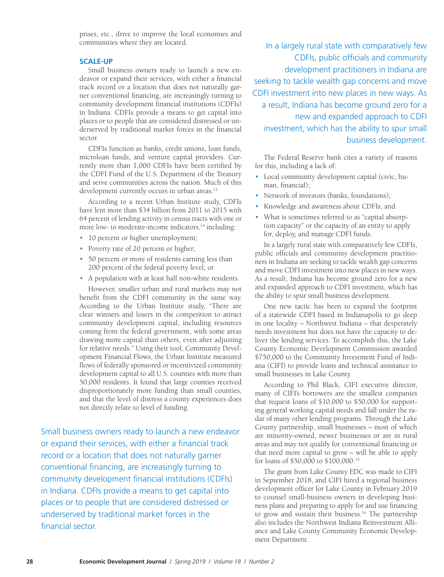prises, etc., drive to improve the local economies and communities where they are located.

#### **SCALE-UP**

Small business owners ready to launch a new endeavor or expand their services, with either a financial track record or a location that does not naturally garner conventional financing, are increasingly turning to community development financial institutions (CDFIs) in Indiana. CDFIs provide a means to get capital into places or to people that are considered distressed or underserved by traditional market forces in the financial sector.

CDFIs function as banks, credit unions, loan funds, microloan funds, and venture capital providers. Currently more than 1,000 CDFIs have been certified by the CDFI Fund of the U.S. Department of the Treasury and serve communities across the nation. Much of this development currently occurs in urban areas.<sup>13</sup>

According to a recent Urban Institute study, CDFIs have lent more than \$34 billion from 2011 to 2015 with 64 percent of lending activity in census tracts with one or more low- to moderate-income indicators,<sup>14</sup> including:

- 10 percent or higher unemployment;
- Poverty rate of 20 percent or higher;
- 50 percent or more of residents earning less than 200 percent of the federal poverty level; or
- A population with at least half non-white residents.

However, smaller urban and rural markets may not benefit from the CDFI community in the same way. According to the Urban Institute study, "There are clear winners and losers in the competition to attract community development capital, including resources coming from the federal government, with some areas drawing more capital than others, even after adjusting for relative needs." Using their tool, Community Development Financial Flows, the Urban Institute measured flows of federally sponsored or incentivized community development capital to all U.S. counties with more than 50,000 residents. It found that large counties received disproportionately more funding than small counties, and that the level of distress a county experiences does not directly relate to level of funding.

Small business owners ready to launch a new endeavor or expand their services, with either a financial track record or a location that does not naturally garner conventional financing, are increasingly turning to community development financial institutions (CDFIs) in Indiana. CDFIs provide a means to get capital into places or to people that are considered distressed or underserved by traditional market forces in the financial sector.

In a largely rural state with comparatively few CDFIs, public officials and community development practitioners in Indiana are seeking to tackle wealth gap concerns and move CDFI investment into new places in new ways. As a result, Indiana has become ground zero for a new and expanded approach to CDFI investment, which has the ability to spur small business development.

The Federal Reserve bank cites a variety of reasons for this, including a lack of:

- Local community development capital (civic, human, financial);
- Network of investors (banks, foundations);
- Knowledge and awareness about CDFIs; and
- What is sometimes referred to as "capital absorption capacity" or the capacity of an entity to apply for, deploy, and manage CDFI funds.

In a largely rural state with comparatively few CDFIs, public officials and community development practitioners in Indiana are seeking to tackle wealth gap concerns and move CDFI investment into new places in new ways. As a result, Indiana has become ground zero for a new and expanded approach to CDFI investment, which has the ability to spur small business development.

One new tactic has been to expand the footprint of a statewide CDFI based in Indianapolis to go deep in one locality – Northwest Indiana – that desperately needs investment but does not have the capacity to deliver the lending services. To accomplish this, the Lake County Economic Development Commission awarded \$750,000 to the Community Investment Fund of Indiana (CIFI) to provide loans and technical assistance to small businesses in Lake County.

According to Phil Black, CIFI executive director, many of CIFI's borrowers are the smallest companies that request loans of \$10,000 to \$50,000 for supporting general working capital needs and fall under the radar of many other lending programs. Through the Lake County partnership, small businesses – most of which are minority-owned, newer businesses or are in rural areas and may not qualify for conventional financing or that need more capital to grow – will be able to apply for loans of \$50,000 to \$100,000.15

The grant from Lake County EDC was made to CIFI in September 2018, and CIFI hired a regional business development officer for Lake County in February 2019 to counsel small-business owners in developing business plans and preparing to apply for and use financing to grow and sustain their business.16 The partnership also includes the Northwest Indiana Reinvestment Alliance and Lake County Community Economic Development Department.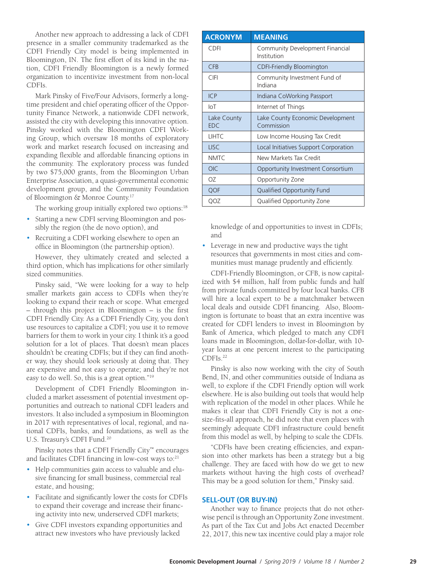Another new approach to addressing a lack of CDFI presence in a smaller community trademarked as the CDFI Friendly City model is being implemented in Bloomington, IN. The first effort of its kind in the nation, CDFI Friendly Bloomington is a newly formed organization to incentivize investment from non-local CDFIs.

Mark Pinsky of Five/Four Advisors, formerly a longtime president and chief operating officer of the Opportunity Finance Network, a nationwide CDFI network, assisted the city with developing this innovative option. Pinsky worked with the Bloomington CDFI Working Group, which oversaw 18 months of exploratory work and market research focused on increasing and expanding flexible and affordable financing options in the community. The exploratory process was funded by two \$75,000 grants, from the Bloomington Urban Enterprise Association, a quasi-governmental economic development group, and the Community Foundation of Bloomington & Monroe County.17

The working group initially explored two options:<sup>18</sup>

- Starting a new CDFI serving Bloomington and possibly the region (the de novo option), and
- Recruiting a CDFI working elsewhere to open an office in Bloomington (the partnership option).

However, they ultimately created and selected a third option, which has implications for other similarly sized communities.

Pinsky said, "We were looking for a way to help smaller markets gain access to CDFIs when they're looking to expand their reach or scope. What emerged – through this project in Bloomington – is the first CDFI Friendly City. As a CDFI Friendly City, you don't use resources to capitalize a CDFI; you use it to remove barriers for them to work in your city. I think it's a good solution for a lot of places. That doesn't mean places shouldn't be creating CDFIs; but if they can find another way, they should look seriously at doing that. They are expensive and not easy to operate; and they're not easy to do well. So, this is a great option."19

Development of CDFI Friendly Bloomington included a market assessment of potential investment opportunities and outreach to national CDFI leaders and investors. It also included a symposium in Bloomington in 2017 with representatives of local, regional, and national CDFIs, banks, and foundations, as well as the U.S. Treasury's CDFI Fund.<sup>20</sup>

Pinsky notes that a CDFI Friendly City™ encourages and facilitates CDFI financing in low-cost ways to:<sup>21</sup>

- Help communities gain access to valuable and elusive financing for small business, commercial real estate, and housing;
- Facilitate and significantly lower the costs for CDFIs to expand their coverage and increase their financing activity into new, underserved CDFI markets;
- Give CDFI investors expanding opportunities and attract new investors who have previously lacked

| <b>ACRONYM</b>            | <b>MEANING</b>                                 |  |
|---------------------------|------------------------------------------------|--|
| CDFI                      | Community Development Financial<br>Institution |  |
| <b>CFB</b>                | CDFI-Friendly Bloomington                      |  |
| <b>CIFI</b>               | Community Investment Fund of<br>Indiana        |  |
| ICP                       | Indiana CoWorking Passport                     |  |
| $I_{\text{O}}$            | Internet of Things                             |  |
| Lake County<br><b>EDC</b> | Lake County Economic Development<br>Commission |  |
| <b>LIHTC</b>              | Low Income Housing Tax Credit                  |  |
| <b>LISC</b>               | Local Initiatives Support Corporation          |  |
| <b>NMTC</b>               | New Markets Tax Credit                         |  |
| <b>OIC</b>                | Opportunity Investment Consortium              |  |
| OZ.                       | Opportunity Zone                               |  |
| <b>QOF</b>                | <b>Qualified Opportunity Fund</b>              |  |
| QOZ                       | Qualified Opportunity Zone                     |  |

knowledge of and opportunities to invest in CDFIs; and

• Leverage in new and productive ways the tight resources that governments in most cities and communities must manage prudently and efficiently.

CDFI-Friendly Bloomington, or CFB, is now capitalized with \$4 million, half from public funds and half from private funds committed by four local banks. CFB will hire a local expert to be a matchmaker between local deals and outside CDFI financing. Also, Bloomington is fortunate to boast that an extra incentive was created for CDFI lenders to invest in Bloomington by Bank of America, which pledged to match any CDFI loans made in Bloomington, dollar-for-dollar, with 10 year loans at one percent interest to the participating CDFIs.22

Pinsky is also now working with the city of South Bend, IN, and other communities outside of Indiana as well, to explore if the CDFI Friendly option will work elsewhere. He is also building out tools that would help with replication of the model in other places. While he makes it clear that CDFI Friendly City is not a onesize-fits-all approach, he did note that even places with seemingly adequate CDFI infrastructure could benefit from this model as well, by helping to scale the CDFIs.

"CDFIs have been creating efficiencies, and expansion into other markets has been a strategy but a big challenge. They are faced with how do we get to new markets without having the high costs of overhead? This may be a good solution for them," Pinsky said.

#### **SELL-OUT (OR BUY-IN)**

Another way to finance projects that do not otherwise pencil is through an Opportunity Zone investment. As part of the Tax Cut and Jobs Act enacted December 22, 2017, this new tax incentive could play a major role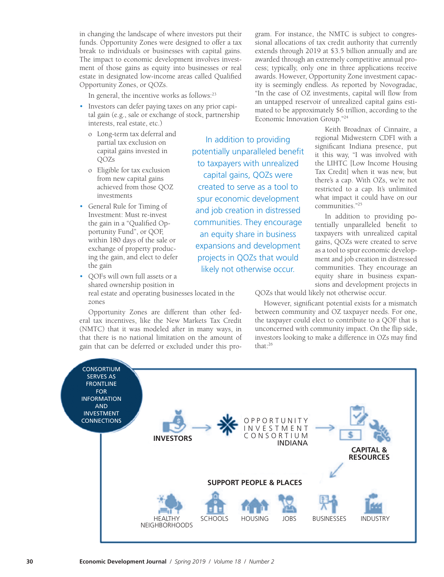in changing the landscape of where investors put their funds. Opportunity Zones were designed to offer a tax break to individuals or businesses with capital gains. The impact to economic development involves investment of those gains as equity into businesses or real estate in designated low-income areas called Qualified Opportunity Zones, or QOZs.

In general, the incentive works as follows:<sup>23</sup>

- Investors can defer paying taxes on any prior capital gain (e.g., sale or exchange of stock, partnership interests, real estate, etc.)
	- o Long-term tax deferral and partial tax exclusion on capital gains invested in QOZs
	- o Eligible for tax exclusion from new capital gains achieved from those QOZ investments
- General Rule for Timing of Investment: Must re-invest the gain in a "Qualified Opportunity Fund", or QOF, within 180 days of the sale or exchange of property producing the gain, and elect to defer the gain
- QOFs will own full assets or a shared ownership position in real estate and operating businesses located in the

zones

Opportunity Zones are different than other federal tax incentives, like the New Markets Tax Credit (NMTC) that it was modeled after in many ways, in that there is no national limitation on the amount of gain that can be deferred or excluded under this program. For instance, the NMTC is subject to congressional allocations of tax credit authority that currently extends through 2019 at \$3.5 billion annually and are awarded through an extremely competitive annual process; typically, only one in three applications receive awards. However, Opportunity Zone investment capacity is seemingly endless. As reported by Novogradac, "In the case of OZ investments, capital will flow from an untapped reservoir of unrealized capital gains estimated to be approximately \$6 trillion, according to the Economic Innovation Group."24

In addition to providing potentially unparalleled benefit to taxpayers with unrealized capital gains, QOZs were created to serve as a tool to spur economic development and job creation in distressed communities. They encourage an equity share in business expansions and development projects in QOZs that would likely not otherwise occur.

Keith Broadnax of Cinnaire, a regional Midwestern CDFI with a significant Indiana presence, put it this way, "I was involved with the LIHTC [Low Income Housing Tax Credit] when it was new, but there's a cap. With OZs, we're not restricted to a cap. It's unlimited what impact it could have on our communities."25

In addition to providing potentially unparalleled benefit to taxpayers with unrealized capital gains, QOZs were created to serve as a tool to spur economic development and job creation in distressed communities. They encourage an equity share in business expansions and development projects in

QOZs that would likely not otherwise occur.

However, significant potential exists for a mismatch between community and OZ taxpayer needs. For one, the taxpayer could elect to contribute to a QOF that is unconcerned with community impact. On the flip side, investors looking to make a difference in OZs may find that:26

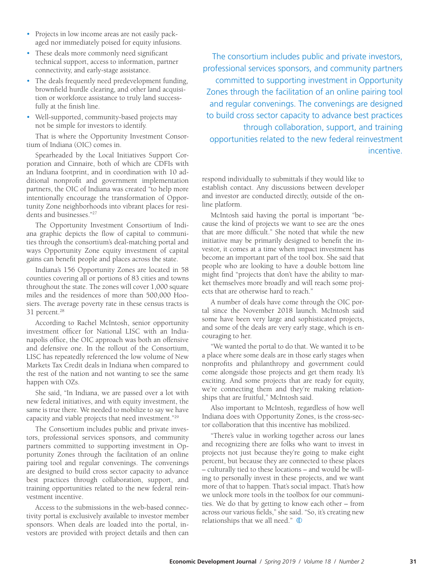- Projects in low income areas are not easily packaged nor immediately poised for equity infusions.
- These deals more commonly need significant technical support, access to information, partner connectivity, and early-stage assistance.
- The deals frequently need predevelopment funding, brownfield hurdle clearing, and other land acquisition or workforce assistance to truly land successfully at the finish line.
- Well-supported, community-based projects may not be simple for investors to identify.

That is where the Opportunity Investment Consortium of Indiana (OIC) comes in.

Spearheaded by the Local Initiatives Support Corporation and Cinnaire, both of which are CDFIs with an Indiana footprint, and in coordination with 10 additional nonprofit and government implementation partners, the OIC of Indiana was created "to help more intentionally encourage the transformation of Opportunity Zone neighborhoods into vibrant places for residents and businesses."27

The Opportunity Investment Consortium of Indiana graphic depicts the flow of capital to communities through the consortium's deal-matching portal and ways Opportunity Zone equity investment of capital gains can benefit people and places across the state.

Indiana's 156 Opportunity Zones are located in 58 counties covering all or portions of 83 cities and towns throughout the state. The zones will cover 1,000 square miles and the residences of more than 500,000 Hoosiers. The average poverty rate in these census tracts is 31 percent.<sup>28</sup>

According to Rachel McIntosh, senior opportunity investment officer for National LISC with an Indianapolis office, the OIC approach was both an offensive and defensive one. In the rollout of the Consortium, LISC has repeatedly referenced the low volume of New Markets Tax Credit deals in Indiana when compared to the rest of the nation and not wanting to see the same happen with OZs.

She said, "In Indiana, we are passed over a lot with new federal initiatives, and with equity investment, the same is true there. We needed to mobilize to say we have capacity and viable projects that need investment."29

The Consortium includes public and private investors, professional services sponsors, and community partners committed to supporting investment in Opportunity Zones through the facilitation of an online pairing tool and regular convenings. The convenings are designed to build cross sector capacity to advance best practices through collaboration, support, and training opportunities related to the new federal reinvestment incentive.

Access to the submissions in the web-based connectivity portal is exclusively available to investor member sponsors. When deals are loaded into the portal, investors are provided with project details and then can

The consortium includes public and private investors, professional services sponsors, and community partners committed to supporting investment in Opportunity Zones through the facilitation of an online pairing tool and regular convenings. The convenings are designed to build cross sector capacity to advance best practices through collaboration, support, and training opportunities related to the new federal reinvestment incentive.

respond individually to submittals if they would like to establish contact. Any discussions between developer and investor are conducted directly, outside of the online platform.

McIntosh said having the portal is important "because the kind of projects we want to see are the ones that are more difficult." She noted that while the new initiative may be primarily designed to benefit the investor, it comes at a time when impact investment has become an important part of the tool box. She said that people who are looking to have a double bottom line might find "projects that don't have the ability to market themselves more broadly and will reach some projects that are otherwise hard to reach."

A number of deals have come through the OIC portal since the November 2018 launch. McIntosh said some have been very large and sophisticated projects, and some of the deals are very early stage, which is encouraging to her.

"We wanted the portal to do that. We wanted it to be a place where some deals are in those early stages when nonprofits and philanthropy and government could come alongside those projects and get them ready. It's exciting. And some projects that are ready for equity, we're connecting them and they're making relationships that are fruitful," McIntosh said.

Also important to McIntosh, regardless of how well Indiana does with Opportunity Zones, is the cross-sector collaboration that this incentive has mobilized.

"There's value in working together across our lanes and recognizing there are folks who want to invest in projects not just because they're going to make eight percent, but because they are connected to these places – culturally tied to these locations – and would be willing to personally invest in these projects, and we want more of that to happen. That's social impact. That's how we unlock more tools in the toolbox for our communities. We do that by getting to know each other – from across our various fields," she said. "So, it's creating new relationships that we all need."  $\bigoplus$